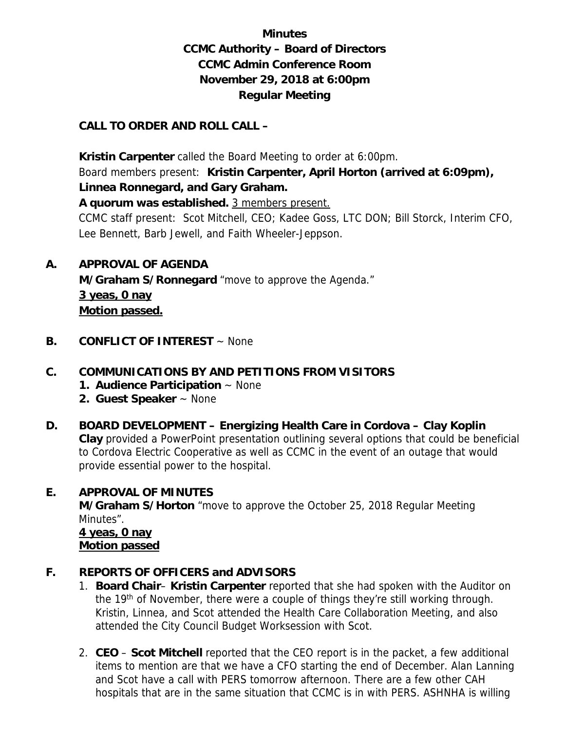# **Minutes CCMC Authority – Board of Directors CCMC Admin Conference Room November 29, 2018 at 6:00pm Regular Meeting**

### **CALL TO ORDER AND ROLL CALL –**

 **Kristin Carpenter** called the Board Meeting to order at 6:00pm. Board members present: **Kristin Carpenter, April Horton (arrived at 6:09pm), Linnea Ronnegard, and Gary Graham.** 

**A quorum was established.** 3 members present.

CCMC staff present: Scot Mitchell, CEO; Kadee Goss, LTC DON; Bill Storck, Interim CFO, Lee Bennett, Barb Jewell, and Faith Wheeler-Jeppson.

**A. APPROVAL OF AGENDA** 

 **M/Graham S/Ronnegard** "move to approve the Agenda." **3 yeas, 0 nay Motion passed.** 

**B. CONFLICT OF INTEREST** ~ None

# **C. COMMUNICATIONS BY AND PETITIONS FROM VISITORS**

- **1. Audience Participation** ~ None
- **2. Guest Speaker** ~ None
- **D. BOARD DEVELOPMENT Energizing Health Care in Cordova Clay Koplin Clay** provided a PowerPoint presentation outlining several options that could be beneficial to Cordova Electric Cooperative as well as CCMC in the event of an outage that would provide essential power to the hospital.

### **E. APPROVAL OF MINUTES**

**M/Graham S/Horton** "move to approve the October 25, 2018 Regular Meeting Minutes".

 **4 yeas, 0 nay Motion passed**

### **F. REPORTS OF OFFICERS and ADVISORS**

- 1. **Board Chair Kristin Carpenter** reported that she had spoken with the Auditor on the 19<sup>th</sup> of November, there were a couple of things they're still working through. Kristin, Linnea, and Scot attended the Health Care Collaboration Meeting, and also attended the City Council Budget Worksession with Scot.
- 2. **CEO Scot Mitchell** reported that the CEO report is in the packet, a few additional items to mention are that we have a CFO starting the end of December. Alan Lanning and Scot have a call with PERS tomorrow afternoon. There are a few other CAH hospitals that are in the same situation that CCMC is in with PERS. ASHNHA is willing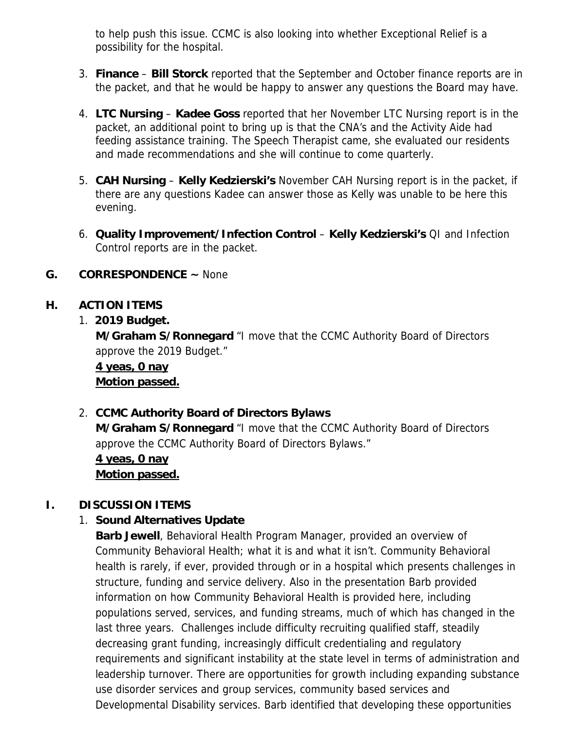to help push this issue. CCMC is also looking into whether Exceptional Relief is a possibility for the hospital.

- 3. **Finance Bill Storck** reported that the September and October finance reports are in the packet, and that he would be happy to answer any questions the Board may have.
- 4. **LTC Nursing Kadee Goss** reported that her November LTC Nursing report is in the packet, an additional point to bring up is that the CNA's and the Activity Aide had feeding assistance training. The Speech Therapist came, she evaluated our residents and made recommendations and she will continue to come quarterly.
- 5. **CAH Nursing Kelly Kedzierski's** November CAH Nursing report is in the packet, if there are any questions Kadee can answer those as Kelly was unable to be here this evening.
- 6. **Quality Improvement/Infection Control Kelly Kedzierski's** QI and Infection Control reports are in the packet.

### **G. CORRESPONDENCE ~** None

# **H. ACTION ITEMS**

### 1. **2019 Budget.**

**M/Graham S/Ronnegard** "I move that the CCMC Authority Board of Directors approve the 2019 Budget."

**4 yeas, 0 nay Motion passed.** 

# 2. **CCMC Authority Board of Directors Bylaws**

**M/Graham S/Ronnegard** "I move that the CCMC Authority Board of Directors approve the CCMC Authority Board of Directors Bylaws."

**4 yeas, 0 nay Motion passed.** 

# **I. DISCUSSION ITEMS**

# 1. **Sound Alternatives Update**

**Barb Jewell**, Behavioral Health Program Manager, provided an overview of Community Behavioral Health; what it is and what it isn't. Community Behavioral health is rarely, if ever, provided through or in a hospital which presents challenges in structure, funding and service delivery. Also in the presentation Barb provided information on how Community Behavioral Health is provided here, including populations served, services, and funding streams, much of which has changed in the last three years. Challenges include difficulty recruiting qualified staff, steadily decreasing grant funding, increasingly difficult credentialing and regulatory requirements and significant instability at the state level in terms of administration and leadership turnover. There are opportunities for growth including expanding substance use disorder services and group services, community based services and Developmental Disability services. Barb identified that developing these opportunities